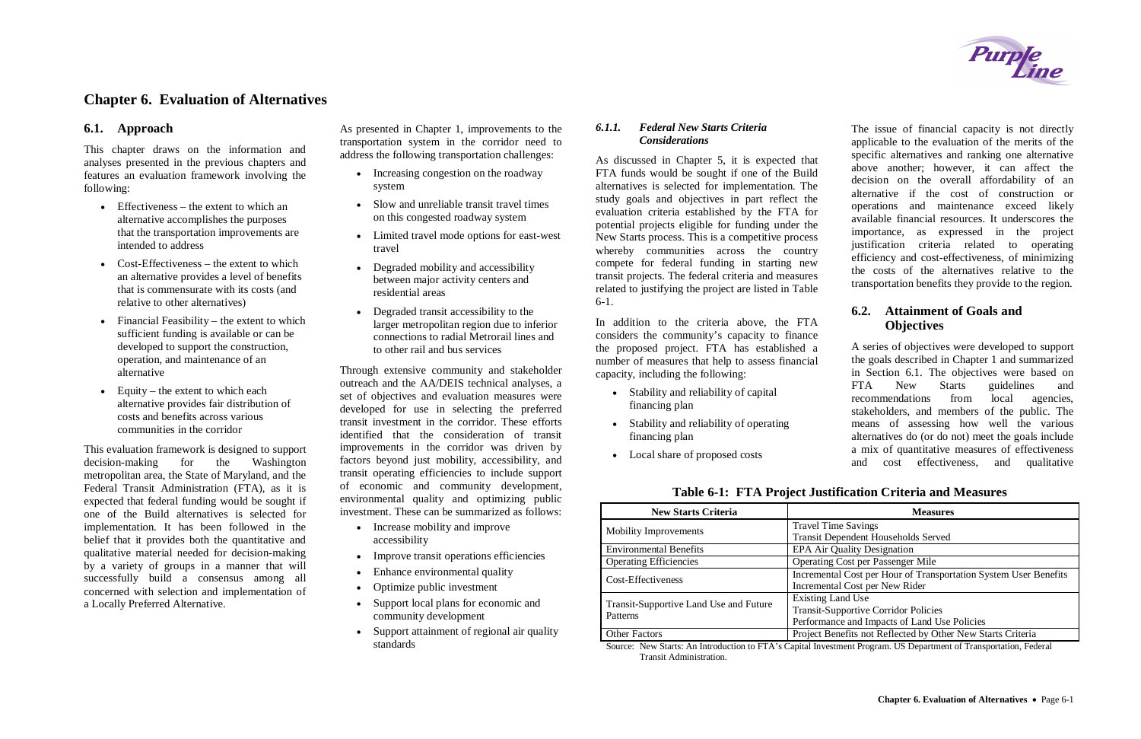# **Chapter 6. Evaluation of Alternatives**

#### **6.1. Approach**

This chapter draws on the information and analyses presented in the previous chapters and features an evaluation framework involving the following:

- $\bullet$  Effectiveness the extent to which an alternative accomplishes the purposes that the transportation improvements are intended to address
- $\bullet$  Cost-Effectiveness the extent to which an alternative provides a level of benefits that is commensurate with its costs (and relative to other alternatives)
- $\bullet$  Financial Feasibility the extent to which sufficient funding is available or can be developed to support the construction, operation, and maintenance of an alternative
- $\bullet$  Equity the extent to which each alternative provides fair distribution of costs and benefits across various communities in the corridor
- Increasing congestion on the roadway system
- Slow and unreliable transit travel times on this congested roadway system
- Limited travel mode options for east-west travel
- Degraded mobility and accessibility between major activity centers and residential areas
- Degraded transit accessibility to the larger metropolitan region due to inferior connections to radial Metrorail lines and to other rail and bus services

This evaluation framework is designed to support decision-making for the Washington metropolitan area, the State of Maryland, and the Federal Transit Administration (FTA), as it is expected that federal funding would be sought if one of the Build alternatives is selected for implementation. It has been followed in the belief that it provides both the quantitative and qualitative material needed for decision-making by a variety of groups in a manner that will successfully build a consensus among all concerned with selection and implementation of a Locally Preferred Alternative.

- Increase mobility and improve accessibility
- Improve transit operations efficiencies
- Enhance environmental quality
- $\bullet$  Optimize public investment
- Support local plans for economic and community development
- Support attainment of regional air quality standards

As presented in Chapter 1, improvements to the transportation system in the corridor need to address the following transportation challenges:

Through extensive community and stakeholder outreach and the AA/DEIS technical analyses, a set of objectives and evaluation measures were developed for use in selecting the preferred transit investment in the corridor. These efforts identified that the consideration of transit improvements in the corridor was driven by factors beyond just mobility, accessibility, and transit operating efficiencies to include support of economic and community development, environmental quality and optimizing public investment. These can be summarized as follows:

| <b>New Starts Criteria</b>             | <b>Measures</b>                                                  |
|----------------------------------------|------------------------------------------------------------------|
| <b>Mobility Improvements</b>           | <b>Travel Time Savings</b>                                       |
|                                        | <b>Transit Dependent Households Served</b>                       |
| <b>Environmental Benefits</b>          | EPA Air Quality Designation                                      |
| <b>Operating Efficiencies</b>          | <b>Operating Cost per Passenger Mile</b>                         |
| Cost-Effectiveness                     | Incremental Cost per Hour of Transportation System User Benefits |
|                                        | Incremental Cost per New Rider                                   |
| Transit-Supportive Land Use and Future | <b>Existing Land Use</b>                                         |
| Patterns                               | <b>Transit-Supportive Corridor Policies</b>                      |
|                                        | Performance and Impacts of Land Use Policies                     |
| <b>Other Factors</b>                   | Project Benefits not Reflected by Other New Starts Criteria      |

**Table 6-1: FTA Project Justification** 

#### *6.1.1. Federal New Starts Criteria Considerations*

As discussed in Chapter 5, it is expected that FTA funds would be sought if one of the Build alternatives is selected for implementation. The study goals and objectives in part reflect the evaluation criteria established by the FTA for potential projects eligible for funding under the New Starts process. This is a competitive process whereby communities across the country compete for federal funding in starting new transit projects. The federal criteria and measures related to justifying the project are listed in Table 6-1.

In addition to the criteria above, the FTA considers the community's capacity to finance the proposed project. FTA has established a number of measures that help to assess financial capacity, including the following:

- Stability and reliability of capital financing plan
- Stability and reliability of operating financing plan
- Local share of proposed costs

The issue of financial capacity is not directly applicable to the evaluation of the merits of the specific alternatives and ranking one alternative above another; however, it can affect the decision on the overall affordability of an alternative if the cost of construction or operations and maintenance exceed likely available financial resources. It underscores the importance, as expressed in the project justification criteria related to operating efficiency and cost-effectiveness, of minimizing the costs of the alternatives relative to the transportation benefits they provide to the region.

# **6.2. Attainment of Goals and Objectives**

A series of objectives were developed to support the goals described in Chapter 1 and summarized in Section 6.1. The objectives were based on FTA New Starts guidelines and recommendations from local agencies, stakeholders, and members of the public. The means of assessing how well the various alternatives do (or do not) meet the goals include a mix of quantitative measures of effectiveness and cost effectiveness, and qualitative

|  | ication Criteria and Measures |  |
|--|-------------------------------|--|
|  |                               |  |

Source: New Starts: An Introduction to FTA's Capital Investment Program. US Department of Transportation, Federal Transit Administration.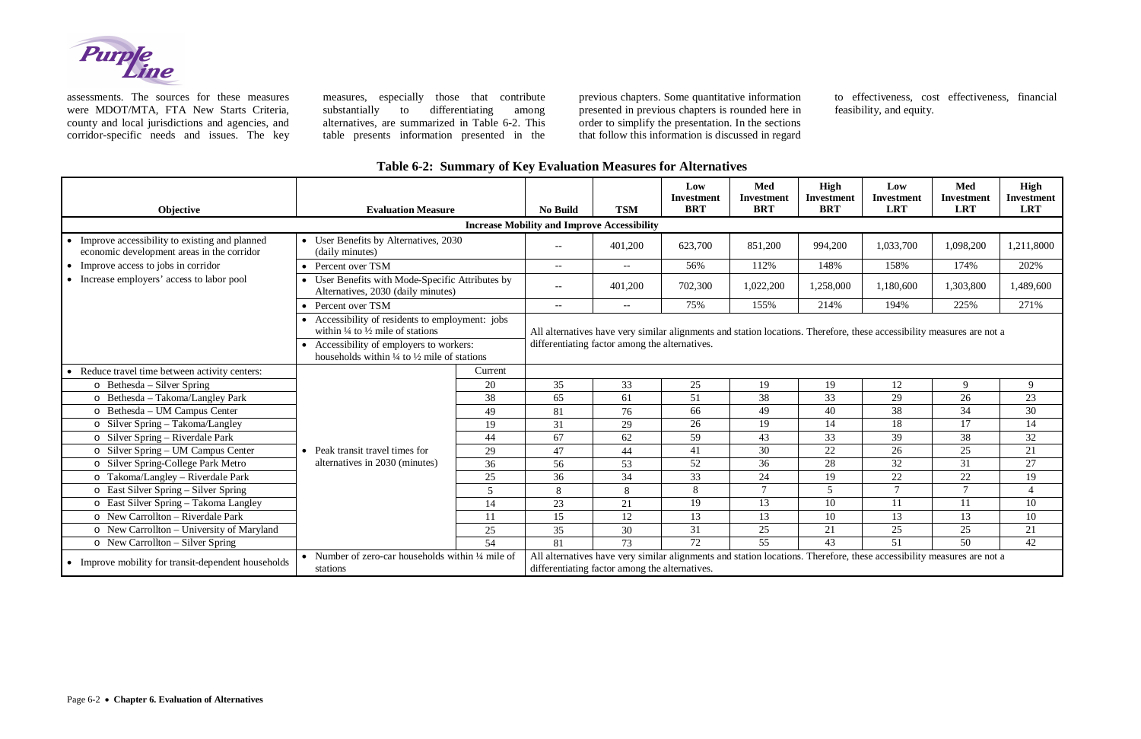

assessments. The sources for these measures were MDOT/MTA, FTA New Starts Criteria, county and local jurisdictions and agencies, and corridor-specific needs and issues. The key measures, especially those that contribute substantially to differentiating among alternatives, are summarized in Table 6-2. This table presents information presented in the

previous chapters. Some quantitative information presented in previous chapters is rounded here in order to simplify the presentation. In the sections that follow this information is discussed in regard

to effectiveness, cost effectiveness, financial feasibility, and equity.

|  |  |  |  | Table 6-2: Summary of Key Evaluation Measures for Alternatives |  |
|--|--|--|--|----------------------------------------------------------------|--|
|--|--|--|--|----------------------------------------------------------------|--|

| Objective                                                                                                | <b>Evaluation Measure</b>                                                                                                                                                                                                   |         | <b>No Build</b>                                                                                                                                                          | <b>TSM</b>                  | Low<br><b>Investment</b><br><b>BRT</b> | <b>Med</b><br>Investment<br><b>BRT</b> | High<br><b>Investment</b><br><b>BRT</b> | Low<br><b>Investment</b><br><b>LRT</b> | <b>Med</b><br>Investment<br><b>LRT</b> | <b>High</b><br><b>Investment</b><br><b>LRT</b> |
|----------------------------------------------------------------------------------------------------------|-----------------------------------------------------------------------------------------------------------------------------------------------------------------------------------------------------------------------------|---------|--------------------------------------------------------------------------------------------------------------------------------------------------------------------------|-----------------------------|----------------------------------------|----------------------------------------|-----------------------------------------|----------------------------------------|----------------------------------------|------------------------------------------------|
| <b>Increase Mobility and Improve Accessibility</b>                                                       |                                                                                                                                                                                                                             |         |                                                                                                                                                                          |                             |                                        |                                        |                                         |                                        |                                        |                                                |
| Improve accessibility to existing and planned<br>$\bullet$<br>economic development areas in the corridor | • User Benefits by Alternatives, 2030<br>(daily minutes)                                                                                                                                                                    |         | $\overline{\phantom{a}}$                                                                                                                                                 | 401,200                     | 623,700                                | 851,200                                | 994,200                                 | 1,033,700                              | 1,098,200                              | 1,211,8000                                     |
| • Improve access to jobs in corridor                                                                     | • Percent over TSM                                                                                                                                                                                                          |         | $\overline{\phantom{a}}$                                                                                                                                                 | $- -$                       | 56%                                    | 112%                                   | 148%                                    | 158%                                   | 174%                                   | 202%                                           |
| • Increase employers' access to labor pool                                                               | • User Benefits with Mode-Specific Attributes by<br>Alternatives, 2030 (daily minutes)                                                                                                                                      |         | $\hspace{0.05cm} -\hspace{0.05cm} -\hspace{0.05cm}$                                                                                                                      | 401,200                     | 702,300                                | 1,022,200                              | 1,258,000                               | 1,180,600                              | 1,303,800                              | 1,489,600                                      |
|                                                                                                          | Percent over TSM                                                                                                                                                                                                            |         | $- -$                                                                                                                                                                    | $\mathcal{L}_{\mathcal{F}}$ | 75%                                    | 155%                                   | 214%                                    | 194%                                   | 225%                                   | 271%                                           |
|                                                                                                          | • Accessibility of residents to employment: jobs<br>within $\frac{1}{4}$ to $\frac{1}{2}$ mile of stations<br>• Accessibility of employers to workers:<br>households within $\frac{1}{4}$ to $\frac{1}{2}$ mile of stations |         | All alternatives have very similar alignments and station locations. Therefore, these accessibility measures are not a<br>differentiating factor among the alternatives. |                             |                                        |                                        |                                         |                                        |                                        |                                                |
| Reduce travel time between activity centers:                                                             |                                                                                                                                                                                                                             | Current |                                                                                                                                                                          |                             |                                        |                                        |                                         |                                        |                                        |                                                |
| $\circ$ Bethesda – Silver Spring                                                                         |                                                                                                                                                                                                                             | 20      | 35                                                                                                                                                                       | 33                          | 25                                     | 19                                     | 19                                      | 12                                     | 9                                      | 9                                              |
| o Bethesda - Takoma/Langley Park                                                                         |                                                                                                                                                                                                                             | 38      | 65                                                                                                                                                                       | 61                          | 51                                     | 38                                     | 33                                      | 29                                     | 26                                     | 23                                             |
| $\overline{\circ}$ Bethesda – UM Campus Center                                                           |                                                                                                                                                                                                                             | 49      | 81                                                                                                                                                                       | 76                          | 66                                     | 49                                     | 40                                      | 38                                     | 34                                     | 30                                             |
| o Silver Spring - Takoma/Langley                                                                         |                                                                                                                                                                                                                             | 19      | 31                                                                                                                                                                       | 29                          | 26                                     | 19                                     | 14                                      | 18                                     | 17                                     | 14                                             |
| o Silver Spring - Riverdale Park                                                                         |                                                                                                                                                                                                                             | 44      | 67                                                                                                                                                                       | 62                          | 59                                     | 43                                     | 33                                      | 39                                     | 38                                     | 32                                             |
| o Silver Spring – UM Campus Center                                                                       | • Peak transit travel times for                                                                                                                                                                                             | 29      | 47                                                                                                                                                                       | 44                          | 41                                     | 30                                     | 22                                      | 26                                     | 25                                     | 21                                             |
| o Silver Spring-College Park Metro                                                                       | alternatives in 2030 (minutes)                                                                                                                                                                                              | 36      | 56                                                                                                                                                                       | 53                          | 52                                     | 36                                     | 28                                      | 32                                     | 31                                     | 27                                             |
| o Takoma/Langley - Riverdale Park                                                                        |                                                                                                                                                                                                                             | $25\,$  | 36                                                                                                                                                                       | 34                          | 33                                     | 24                                     | 19                                      | 22                                     | $22\,$                                 | 19                                             |
| o East Silver Spring – Silver Spring                                                                     |                                                                                                                                                                                                                             | 5       | 8                                                                                                                                                                        | 8                           | 8                                      | $\overline{7}$                         | 5                                       | $\tau$                                 | $7\phantom{.0}$                        | $\overline{4}$                                 |
| o East Silver Spring - Takoma Langley                                                                    |                                                                                                                                                                                                                             | 14      | 23                                                                                                                                                                       | 21                          | 19                                     | 13                                     | 10                                      | 11                                     | 11                                     | 10                                             |
| $\circ$ New Carrollton – Riverdale Park                                                                  |                                                                                                                                                                                                                             | 11      | 15                                                                                                                                                                       | 12                          | 13                                     | 13                                     | 10                                      | 13                                     | 13                                     | 10                                             |
| o New Carrollton – University of Maryland                                                                |                                                                                                                                                                                                                             | 25      | 35                                                                                                                                                                       | 30                          | 31                                     | $25\,$                                 | 21                                      | 25                                     | 25                                     | 21                                             |
| $\circ$ New Carrollton – Silver Spring                                                                   |                                                                                                                                                                                                                             | 54      | 81                                                                                                                                                                       | 73                          | 72                                     | 55                                     | 43                                      | 51                                     | 50                                     | 42                                             |
| • Improve mobility for transit-dependent households                                                      | Number of zero-car households within 1/4 mile of<br>stations                                                                                                                                                                |         | All alternatives have very similar alignments and station locations. Therefore, these accessibility measures are not a<br>differentiating factor among the alternatives. |                             |                                        |                                        |                                         |                                        |                                        |                                                |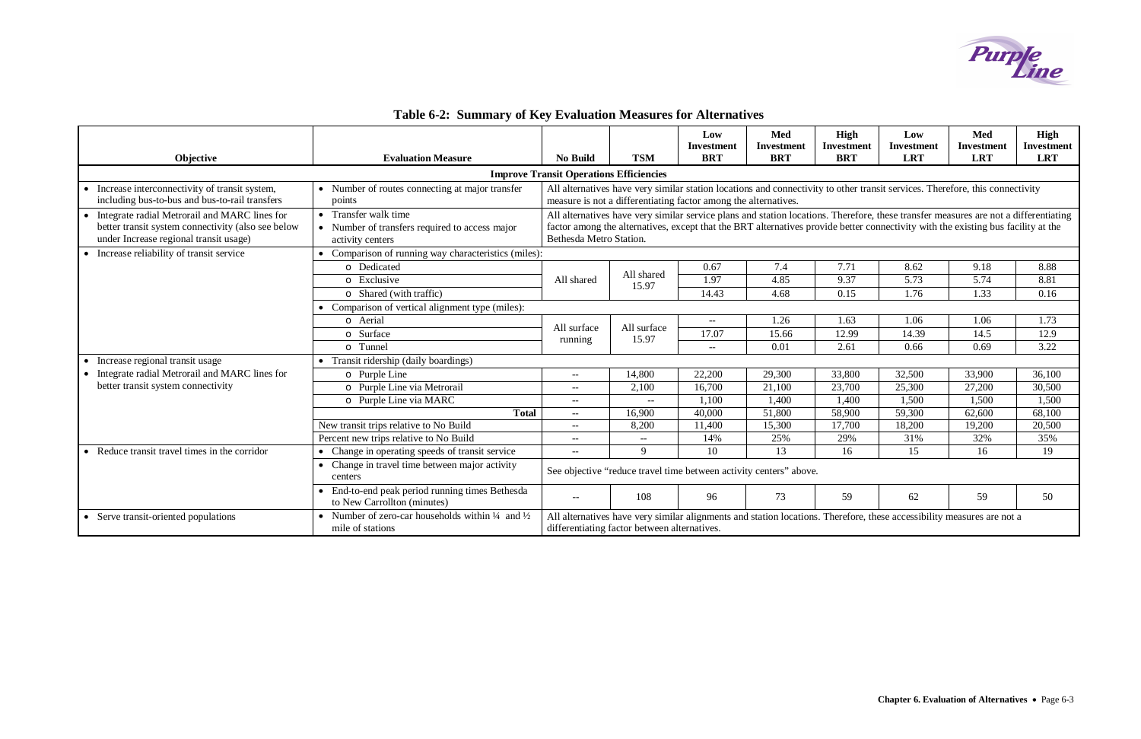# **Table 6-2: Summary of Key Evaluation Measures for Alternatives**



|                                                    |                                                                                            |                                                                                                                               |                                                                                                                                                                        | Low                      | Med               | High              | Low               | <b>Med</b>        | <b>High</b>       |
|----------------------------------------------------|--------------------------------------------------------------------------------------------|-------------------------------------------------------------------------------------------------------------------------------|------------------------------------------------------------------------------------------------------------------------------------------------------------------------|--------------------------|-------------------|-------------------|-------------------|-------------------|-------------------|
|                                                    |                                                                                            |                                                                                                                               |                                                                                                                                                                        | <b>Investment</b>        | <b>Investment</b> | <b>Investment</b> | <b>Investment</b> | <b>Investment</b> | <b>Investment</b> |
| Objective                                          | <b>Evaluation Measure</b>                                                                  | <b>No Build</b>                                                                                                               | <b>TSM</b>                                                                                                                                                             | <b>BRT</b>               | <b>BRT</b>        | <b>BRT</b>        | <b>LRT</b>        | <b>LRT</b>        | <b>LRT</b>        |
|                                                    |                                                                                            | <b>Improve Transit Operations Efficiencies</b>                                                                                |                                                                                                                                                                        |                          |                   |                   |                   |                   |                   |
| Increase interconnectivity of transit system,      | • Number of routes connecting at major transfer                                            | All alternatives have very similar station locations and connectivity to other transit services. Therefore, this connectivity |                                                                                                                                                                        |                          |                   |                   |                   |                   |                   |
| including bus-to-bus and bus-to-rail transfers     | points                                                                                     |                                                                                                                               | measure is not a differentiating factor among the alternatives.                                                                                                        |                          |                   |                   |                   |                   |                   |
| Integrate radial Metrorail and MARC lines for      | • Transfer walk time                                                                       |                                                                                                                               | All alternatives have very similar service plans and station locations. Therefore, these transfer measures are not a differentiating                                   |                          |                   |                   |                   |                   |                   |
| better transit system connectivity (also see below | • Number of transfers required to access major                                             |                                                                                                                               | factor among the alternatives, except that the BRT alternatives provide better connectivity with the existing bus facility at the                                      |                          |                   |                   |                   |                   |                   |
| under Increase regional transit usage)             | activity centers                                                                           | Bethesda Metro Station.                                                                                                       |                                                                                                                                                                        |                          |                   |                   |                   |                   |                   |
| Increase reliability of transit service            | Comparison of running way characteristics (miles):                                         |                                                                                                                               |                                                                                                                                                                        |                          |                   |                   |                   |                   |                   |
|                                                    | o Dedicated                                                                                |                                                                                                                               | All shared                                                                                                                                                             | 0.67                     | 7.4               | 7.71              | 8.62              | 9.18              | 8.88              |
|                                                    | o Exclusive                                                                                | All shared                                                                                                                    | 15.97                                                                                                                                                                  | 1.97                     | 4.85              | 9.37              | 5.73              | 5.74              | 8.81              |
|                                                    | o Shared (with traffic)                                                                    |                                                                                                                               |                                                                                                                                                                        | 14.43                    | 4.68              | 0.15              | 1.76              | 1.33              | 0.16              |
|                                                    | • Comparison of vertical alignment type (miles):                                           |                                                                                                                               |                                                                                                                                                                        |                          |                   |                   |                   |                   |                   |
|                                                    | o Aerial                                                                                   | All surface                                                                                                                   | All surface                                                                                                                                                            | $- -$                    | 1.26              | 1.63              | 1.06              | 1.06              | 1.73              |
|                                                    | o Surface                                                                                  | running                                                                                                                       | 15.97                                                                                                                                                                  | 17.07                    | 15.66             | 12.99             | 14.39             | 14.5              | 12.9              |
|                                                    | o Tunnel                                                                                   |                                                                                                                               |                                                                                                                                                                        | $\overline{\phantom{a}}$ | 0.01              | 2.61              | 0.66              | 0.69              | 3.22              |
| Increase regional transit usage                    | • Transit ridership (daily boardings)                                                      |                                                                                                                               |                                                                                                                                                                        |                          |                   |                   |                   |                   |                   |
| Integrate radial Metrorail and MARC lines for      | o Purple Line                                                                              | $\hspace{0.05cm} -\hspace{0.05cm} -\hspace{0.05cm}$                                                                           | 14,800                                                                                                                                                                 | 22,200                   | 29,300            | 33,800            | 32,500            | 33,900            | 36,100            |
| better transit system connectivity                 | o Purple Line via Metrorail                                                                | $\hspace{0.05cm} -\hspace{0.05cm} -\hspace{0.05cm}$                                                                           | 2,100                                                                                                                                                                  | 16,700                   | 21,100            | 23,700            | 25,300            | 27,200            | 30,500            |
|                                                    | o Purple Line via MARC                                                                     | $- -$                                                                                                                         | $- -$                                                                                                                                                                  | 1,100                    | 1,400             | 1,400             | 1,500             | 1,500             | 1,500             |
|                                                    | <b>Total</b>                                                                               | $\hspace{0.05cm} -\hspace{0.05cm} -\hspace{0.05cm}$                                                                           | 16,900                                                                                                                                                                 | 40,000                   | 51,800            | 58,900            | 59,300            | 62,600            | 68,100            |
|                                                    | New transit trips relative to No Build                                                     | $- -$                                                                                                                         | 8,200                                                                                                                                                                  | 11,400                   | 15,300            | 17,700            | 18,200            | 19,200            | 20,500            |
|                                                    | Percent new trips relative to No Build                                                     | $--$                                                                                                                          | $\overline{a}$                                                                                                                                                         | 14%                      | 25%               | 29%               | 31%               | 32%               | 35%               |
| Reduce transit travel times in the corridor        | • Change in operating speeds of transit service                                            | $\hspace{0.05cm} -\hspace{0.05cm} -\hspace{0.05cm}$                                                                           | 9                                                                                                                                                                      | 10                       | 13                | 16                | 15                | 16                | 19                |
|                                                    | Change in travel time between major activity<br>centers                                    | See objective "reduce travel time between activity centers" above.                                                            |                                                                                                                                                                        |                          |                   |                   |                   |                   |                   |
|                                                    | End-to-end peak period running times Bethesda<br>to New Carrollton (minutes)               | $\hspace{0.05cm} -\hspace{0.05cm} -\hspace{0.05cm}$                                                                           | 108                                                                                                                                                                    | 96                       | 73                | 59                | 62                | 59                | 50                |
| Serve transit-oriented populations                 | • Number of zero-car households within $\frac{1}{4}$ and $\frac{1}{2}$<br>mile of stations |                                                                                                                               | All alternatives have very similar alignments and station locations. Therefore, these accessibility measures are not a<br>differentiating factor between alternatives. |                          |                   |                   |                   |                   |                   |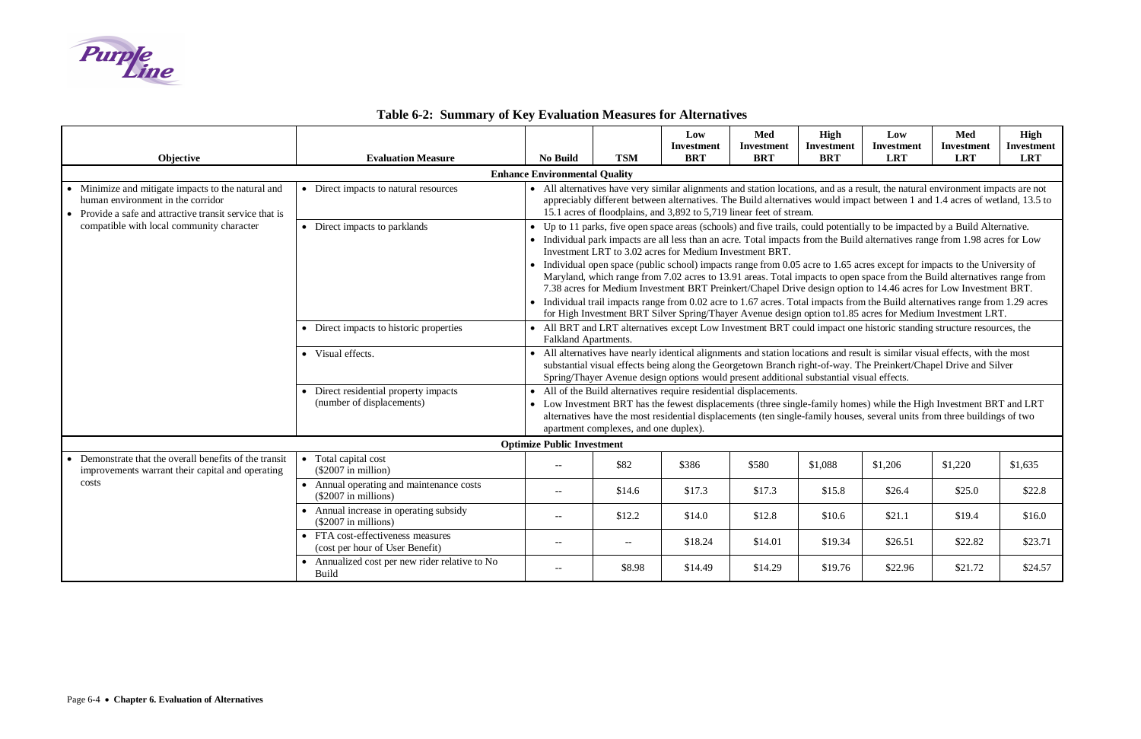# **Table 6-2: Summary of Key Evaluation Measures for Alternatives**



| Objective                                                                                                                                      | <b>Evaluation Measure</b>                                            | <b>No Build</b>                                                                                                                                                                                                                                                                                                                                                                                                                                                                                                                                                                                                                                                                                                                                                                                                                                                                                                                                     | <b>TSM</b> | Low<br>Investment<br><b>BRT</b> | Med<br><b>Investment</b><br><b>BRT</b> | <b>High</b><br><b>Investment</b><br><b>BRT</b> | Low<br><b>Investment</b><br><b>LRT</b> | Med<br><b>Investment</b><br><b>LRT</b> | <b>High</b><br>Investment<br><b>LRT</b> |  |
|------------------------------------------------------------------------------------------------------------------------------------------------|----------------------------------------------------------------------|-----------------------------------------------------------------------------------------------------------------------------------------------------------------------------------------------------------------------------------------------------------------------------------------------------------------------------------------------------------------------------------------------------------------------------------------------------------------------------------------------------------------------------------------------------------------------------------------------------------------------------------------------------------------------------------------------------------------------------------------------------------------------------------------------------------------------------------------------------------------------------------------------------------------------------------------------------|------------|---------------------------------|----------------------------------------|------------------------------------------------|----------------------------------------|----------------------------------------|-----------------------------------------|--|
|                                                                                                                                                |                                                                      | <b>Enhance Environmental Quality</b>                                                                                                                                                                                                                                                                                                                                                                                                                                                                                                                                                                                                                                                                                                                                                                                                                                                                                                                |            |                                 |                                        |                                                |                                        |                                        |                                         |  |
| Minimize and mitigate impacts to the natural and<br>human environment in the corridor<br>Provide a safe and attractive transit service that is | • Direct impacts to natural resources                                | • All alternatives have very similar alignments and station locations, and as a result, the natural environment impacts are not<br>appreciably different between alternatives. The Build alternatives would impact between 1 and 1.4 acres of wetland, 13.5 to<br>15.1 acres of floodplains, and 3,892 to 5,719 linear feet of stream.                                                                                                                                                                                                                                                                                                                                                                                                                                                                                                                                                                                                              |            |                                 |                                        |                                                |                                        |                                        |                                         |  |
| compatible with local community character                                                                                                      | • Direct impacts to parklands                                        | • Up to 11 parks, five open space areas (schools) and five trails, could potentially to be impacted by a Build Alternative.<br>• Individual park impacts are all less than an acre. Total impacts from the Build alternatives range from 1.98 acres for Low<br>Investment LRT to 3.02 acres for Medium Investment BRT.<br>• Individual open space (public school) impacts range from 0.05 acre to 1.65 acres except for impacts to the University of<br>Maryland, which range from 7.02 acres to 13.91 areas. Total impacts to open space from the Build alternatives range from<br>7.38 acres for Medium Investment BRT Preinkert/Chapel Drive design option to 14.46 acres for Low Investment BRT.<br>• Individual trail impacts range from 0.02 acre to 1.67 acres. Total impacts from the Build alternatives range from 1.29 acres<br>for High Investment BRT Silver Spring/Thayer Avenue design option to1.85 acres for Medium Investment LRT. |            |                                 |                                        |                                                |                                        |                                        |                                         |  |
|                                                                                                                                                | • Direct impacts to historic properties                              | • All BRT and LRT alternatives except Low Investment BRT could impact one historic standing structure resources, the<br>Falkland Apartments.                                                                                                                                                                                                                                                                                                                                                                                                                                                                                                                                                                                                                                                                                                                                                                                                        |            |                                 |                                        |                                                |                                        |                                        |                                         |  |
|                                                                                                                                                | • Visual effects.                                                    | • All alternatives have nearly identical alignments and station locations and result is similar visual effects, with the most<br>substantial visual effects being along the Georgetown Branch right-of-way. The Preinkert/Chapel Drive and Silver<br>Spring/Thayer Avenue design options would present additional substantial visual effects.                                                                                                                                                                                                                                                                                                                                                                                                                                                                                                                                                                                                       |            |                                 |                                        |                                                |                                        |                                        |                                         |  |
|                                                                                                                                                | • Direct residential property impacts<br>(number of displacements)   | • All of the Build alternatives require residential displacements.<br>• Low Investment BRT has the fewest displacements (three single-family homes) while the High Investment BRT and LRT<br>alternatives have the most residential displacements (ten single-family houses, several units from three buildings of two<br>apartment complexes, and one duplex).                                                                                                                                                                                                                                                                                                                                                                                                                                                                                                                                                                                     |            |                                 |                                        |                                                |                                        |                                        |                                         |  |
|                                                                                                                                                |                                                                      | <b>Optimize Public Investment</b>                                                                                                                                                                                                                                                                                                                                                                                                                                                                                                                                                                                                                                                                                                                                                                                                                                                                                                                   |            |                                 |                                        |                                                |                                        |                                        |                                         |  |
| Demonstrate that the overall benefits of the transit<br>improvements warrant their capital and operating                                       | Total capital cost<br>$\bullet$<br>$(\$2007$ in million)             | $-$                                                                                                                                                                                                                                                                                                                                                                                                                                                                                                                                                                                                                                                                                                                                                                                                                                                                                                                                                 | \$82       | \$386                           | \$580                                  | \$1,088                                        | \$1,206                                | \$1,220                                | \$1,635                                 |  |
| costs                                                                                                                                          | • Annual operating and maintenance costs<br>$(\$2007$ in millions)   | $-$                                                                                                                                                                                                                                                                                                                                                                                                                                                                                                                                                                                                                                                                                                                                                                                                                                                                                                                                                 | \$14.6     | \$17.3                          | \$17.3                                 | \$15.8                                         | \$26.4                                 | \$25.0                                 | \$22.8                                  |  |
|                                                                                                                                                | • Annual increase in operating subsidy<br>$(\$2007$ in millions)     | $-$                                                                                                                                                                                                                                                                                                                                                                                                                                                                                                                                                                                                                                                                                                                                                                                                                                                                                                                                                 | \$12.2     | \$14.0                          | \$12.8                                 | \$10.6                                         | \$21.1                                 | \$19.4                                 | \$16.0                                  |  |
|                                                                                                                                                | • FTA cost-effectiveness measures<br>(cost per hour of User Benefit) | $-$                                                                                                                                                                                                                                                                                                                                                                                                                                                                                                                                                                                                                                                                                                                                                                                                                                                                                                                                                 | $- -$      | \$18.24                         | \$14.01                                | \$19.34                                        | \$26.51                                | \$22.82                                | \$23.71                                 |  |
|                                                                                                                                                | • Annualized cost per new rider relative to No<br><b>Build</b>       | $-$                                                                                                                                                                                                                                                                                                                                                                                                                                                                                                                                                                                                                                                                                                                                                                                                                                                                                                                                                 | \$8.98     | \$14.49                         | \$14.29                                | \$19.76                                        | \$22.96                                | \$21.72                                | \$24.57                                 |  |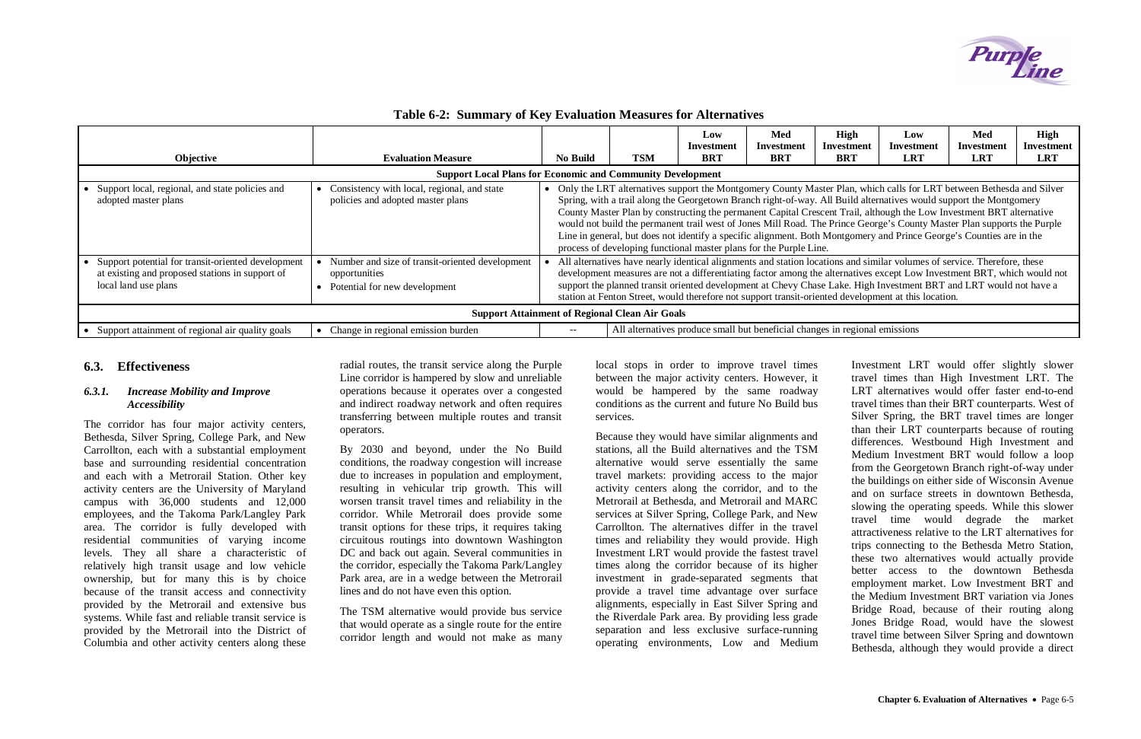### **Table 6-2: Summary of Key Evaluation Measures for Alternatives**

| Objective                                                                                                                     | <b>Evaluation Measure</b>                                                                           | <b>No Build</b>                                                                                                                                                                                                                                                                                                                                                                                                                                                                                                                                                                                                                                                                               | TSM | Low<br>Investment<br><b>BRT</b>                                             | Med<br><b>Investment</b><br><b>BRT</b> | High<br>Investment<br><b>BRT</b> | Low<br>Investment<br><b>LRT</b> | Med<br>Investment<br><b>LRT</b> | High<br>Investment<br><b>LRT</b> |
|-------------------------------------------------------------------------------------------------------------------------------|-----------------------------------------------------------------------------------------------------|-----------------------------------------------------------------------------------------------------------------------------------------------------------------------------------------------------------------------------------------------------------------------------------------------------------------------------------------------------------------------------------------------------------------------------------------------------------------------------------------------------------------------------------------------------------------------------------------------------------------------------------------------------------------------------------------------|-----|-----------------------------------------------------------------------------|----------------------------------------|----------------------------------|---------------------------------|---------------------------------|----------------------------------|
|                                                                                                                               | <b>Support Local Plans for Economic and Community Development</b>                                   |                                                                                                                                                                                                                                                                                                                                                                                                                                                                                                                                                                                                                                                                                               |     |                                                                             |                                        |                                  |                                 |                                 |                                  |
| Support local, regional, and state policies and<br>adopted master plans                                                       | Consistency with local, regional, and state<br>policies and adopted master plans                    | • Only the LRT alternatives support the Montgomery County Master Plan, which calls for LRT between Bethesda and Silver<br>Spring, with a trail along the Georgetown Branch right-of-way. All Build alternatives would support the Montgomery<br>County Master Plan by constructing the permanent Capital Crescent Trail, although the Low Investment BRT alternative<br>would not build the permanent trail west of Jones Mill Road. The Prince George's County Master Plan supports the Purple<br>Line in general, but does not identify a specific alignment. Both Montgomery and Prince George's Counties are in the<br>process of developing functional master plans for the Purple Line. |     |                                                                             |                                        |                                  |                                 |                                 |                                  |
| Support potential for transit-oriented development<br>at existing and proposed stations in support of<br>local land use plans | Number and size of transit-oriented development<br>opportunities<br>• Potential for new development | All alternatives have nearly identical alignments and station locations and similar volumes of service. Therefore, these<br>development measures are not a differentiating factor among the alternatives except Low Investment BRT, which would not<br>support the planned transit oriented development at Chevy Chase Lake. High Investment BRT and LRT would not have a<br>station at Fenton Street, would therefore not support transit-oriented development at this location.                                                                                                                                                                                                             |     |                                                                             |                                        |                                  |                                 |                                 |                                  |
| <b>Support Attainment of Regional Clean Air Goals</b>                                                                         |                                                                                                     |                                                                                                                                                                                                                                                                                                                                                                                                                                                                                                                                                                                                                                                                                               |     |                                                                             |                                        |                                  |                                 |                                 |                                  |
| • Support attainment of regional air quality goals                                                                            | Change in regional emission burden                                                                  | $- -$                                                                                                                                                                                                                                                                                                                                                                                                                                                                                                                                                                                                                                                                                         |     | All alternatives produce small but beneficial changes in regional emissions |                                        |                                  |                                 |                                 |                                  |

## **6.3. Effectiveness**

#### *6.3.1. Increase Mobility and Improve Accessibility*

The corridor has four major activity centers, Bethesda, Silver Spring, College Park, and New Carrollton, each with a substantial employment base and surrounding residential concentration and each with a Metrorail Station. Other key activity centers are the University of Maryland campus with 36,000 students and 12,000 employees, and the Takoma Park/Langley Park area. The corridor is fully developed with residential communities of varying income levels. They all share a characteristic of relatively high transit usage and low vehicle ownership, but for many this is by choice because of the transit access and connectivity provided by the Metrorail and extensive bus systems. While fast and reliable transit service is provided by the Metrorail into the District of Columbia and other activity centers along these

radial routes, the transit service along the Purple Line corridor is hampered by slow and unreliable operations because it operates over a congested and indirect roadway network and often requires transferring between multiple routes and transit operators.

By 2030 and beyond, under the No Build conditions, the roadway congestion will increase due to increases in population and employment, resulting in vehicular trip growth. This will worsen transit travel times and reliability in the corridor. While Metrorail does provide some transit options for these trips, it requires taking circuitous routings into downtown Washington DC and back out again. Several communities in the corridor, especially the Takoma Park/Langley Park area, are in a wedge between the Metrorail lines and do not have even this option.

The TSM alternative would provide bus service that would operate as a single route for the entire corridor length and would not make as many

local stops in order to improve travel times between the major activity centers. However, it would be hampered by the same roadway conditions as the current and future No Build bus services.

Because they would have similar alignments and stations, all the Build alternatives and the TSM alternative would serve essentially the same travel markets: providing access to the major activity centers along the corridor, and to the Metrorail at Bethesda, and Metrorail and MARC services at Silver Spring, College Park, and New Carrollton. The alternatives differ in the travel times and reliability they would provide. High Investment LRT would provide the fastest travel times along the corridor because of its higher investment in grade-separated segments that provide a travel time advantage over surface alignments, especially in East Silver Spring and the Riverdale Park area. By providing less grade separation and less exclusive surface-running operating environments, Low and Medium



Investment LRT would offer slightly slower travel times than High Investment LRT. The LRT alternatives would offer faster end-to-end travel times than their BRT counterparts. West of Silver Spring, the BRT travel times are longer than their LRT counterparts because of routing differences. Westbound High Investment and Medium Investment BRT would follow a loop from the Georgetown Branch right-of-way under the buildings on either side of Wisconsin Avenue and on surface streets in downtown Bethesda, slowing the operating speeds. While this slower travel time would degrade the market attractiveness relative to the LRT alternatives for trips connecting to the Bethesda Metro Station, these two alternatives would actually provide better access to the downtown Bethesda employment market. Low Investment BRT and the Medium Investment BRT variation via Jones Bridge Road, because of their routing along Jones Bridge Road, would have the slowest travel time between Silver Spring and downtown Bethesda, although they would provide a direct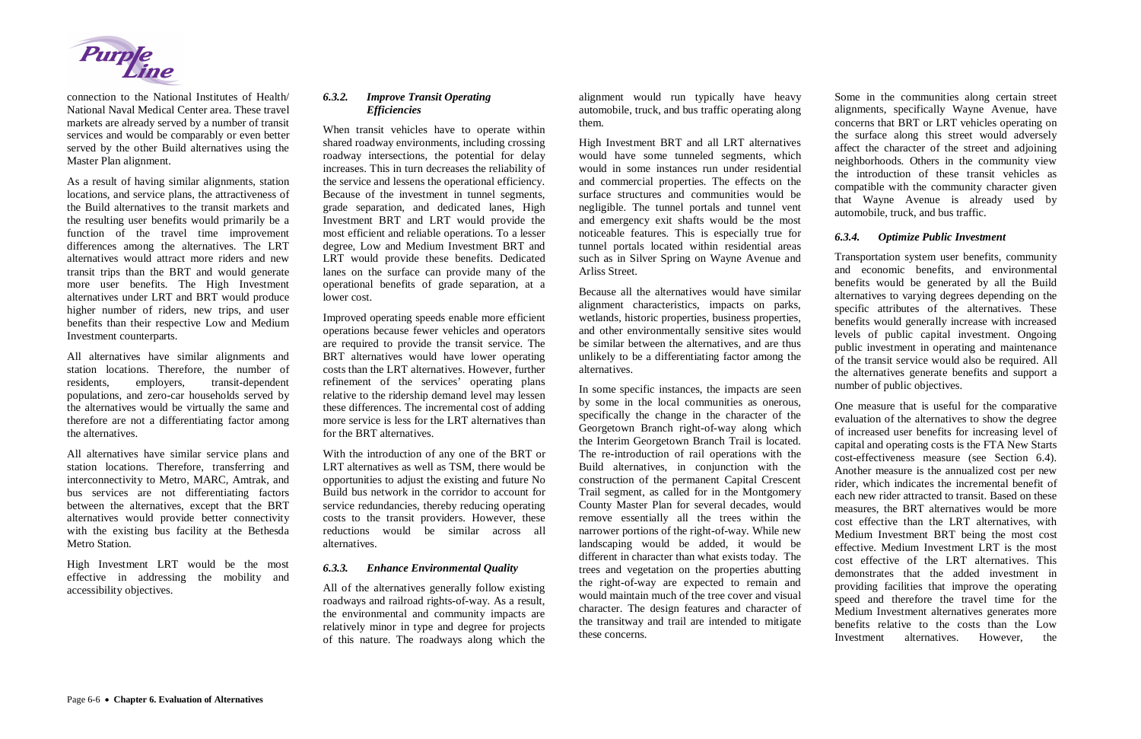

connection to the National Institutes of Health/ National Naval Medical Center area. These travel markets are already served by a number of transit services and would be comparably or even better served by the other Build alternatives using the Master Plan alignment.

As a result of having similar alignments, station locations, and service plans, the attractiveness of the Build alternatives to the transit markets and the resulting user benefits would primarily be a function of the travel time improvement differences among the alternatives. The LRT alternatives would attract more riders and new transit trips than the BRT and would generate more user benefits. The High Investment alternatives under LRT and BRT would produce higher number of riders, new trips, and user benefits than their respective Low and Medium Investment counterparts.

All alternatives have similar alignments and station locations. Therefore, the number of residents, employers, transit-dependent populations, and zero-car households served by the alternatives would be virtually the same and therefore are not a differentiating factor among the alternatives.

All alternatives have similar service plans and station locations. Therefore, transferring and interconnectivity to Metro, MARC, Amtrak, and bus services are not differentiating factors between the alternatives, except that the BRT alternatives would provide better connectivity with the existing bus facility at the Bethesda Metro Station.

High Investment LRT would be the most effective in addressing the mobility and accessibility objectives.

#### *6.3.2. Improve Transit Operating Efficiencies*

When transit vehicles have to operate within shared roadway environments, including crossing roadway intersections, the potential for delay increases. This in turn decreases the reliability of the service and lessens the operational efficiency. Because of the investment in tunnel segments, grade separation, and dedicated lanes, High Investment BRT and LRT would provide the most efficient and reliable operations. To a lesser degree, Low and Medium Investment BRT and LRT would provide these benefits. Dedicated lanes on the surface can provide many of the operational benefits of grade separation, at a lower cost.

Improved operating speeds enable more efficient operations because fewer vehicles and operators are required to provide the transit service. The BRT alternatives would have lower operating costs than the LRT alternatives. However, further refinement of the services' operating plans relative to the ridership demand level may lessen these differences. The incremental cost of adding more service is less for the LRT alternatives than for the BRT alternatives.

With the introduction of any one of the BRT or LRT alternatives as well as TSM, there would be opportunities to adjust the existing and future No Build bus network in the corridor to account for service redundancies, thereby reducing operating costs to the transit providers. However, these reductions would be similar across all alternatives.

#### *6.3.3. Enhance Environmental Quality*

All of the alternatives generally follow existing roadways and railroad rights-of-way. As a result, the environmental and community impacts are relatively minor in type and degree for projects of this nature. The roadways along which the alignment would run typically have heavy automobile, truck, and bus traffic operating along them.

High Investment BRT and all LRT alternatives would have some tunneled segments, which would in some instances run under residential and commercial properties. The effects on the surface structures and communities would be negligible. The tunnel portals and tunnel vent and emergency exit shafts would be the most noticeable features. This is especially true for tunnel portals located within residential areas such as in Silver Spring on Wayne Avenue and Arliss Street.

Because all the alternatives would have similar alignment characteristics, impacts on parks, wetlands, historic properties, business properties, and other environmentally sensitive sites would be similar between the alternatives, and are thus unlikely to be a differentiating factor among the alternatives.

In some specific instances, the impacts are seen by some in the local communities as onerous, specifically the change in the character of the Georgetown Branch right-of-way along which the Interim Georgetown Branch Trail is located. The re-introduction of rail operations with the Build alternatives, in conjunction with the construction of the permanent Capital Crescent Trail segment, as called for in the Montgomery County Master Plan for several decades, would remove essentially all the trees within the narrower portions of the right-of-way. While new landscaping would be added, it would be different in character than what exists today. The trees and vegetation on the properties abutting the right-of-way are expected to remain and would maintain much of the tree cover and visual character. The design features and character of the transitway and trail are intended to mitigate these concerns.

Some in the communities along certain street alignments, specifically Wayne Avenue, have concerns that BRT or LRT vehicles operating on the surface along this street would adversely affect the character of the street and adjoining neighborhoods. Others in the community view the introduction of these transit vehicles as compatible with the community character given that Wayne Avenue is already used by automobile, truck, and bus traffic.

#### *6.3.4. Optimize Public Investment*

Transportation system user benefits, community and economic benefits, and environmental benefits would be generated by all the Build alternatives to varying degrees depending on the specific attributes of the alternatives. These benefits would generally increase with increased levels of public capital investment. Ongoing public investment in operating and maintenance of the transit service would also be required. All the alternatives generate benefits and support a number of public objectives.

One measure that is useful for the comparative evaluation of the alternatives to show the degree of increased user benefits for increasing level of capital and operating costs is the FTA New Starts cost-effectiveness measure (see Section 6.4). Another measure is the annualized cost per new rider, which indicates the incremental benefit of each new rider attracted to transit. Based on these measures, the BRT alternatives would be more cost effective than the LRT alternatives, with Medium Investment BRT being the most cost effective. Medium Investment LRT is the most cost effective of the LRT alternatives. This demonstrates that the added investment in providing facilities that improve the operating speed and therefore the travel time for the Medium Investment alternatives generates more benefits relative to the costs than the Low Investment alternatives. However, the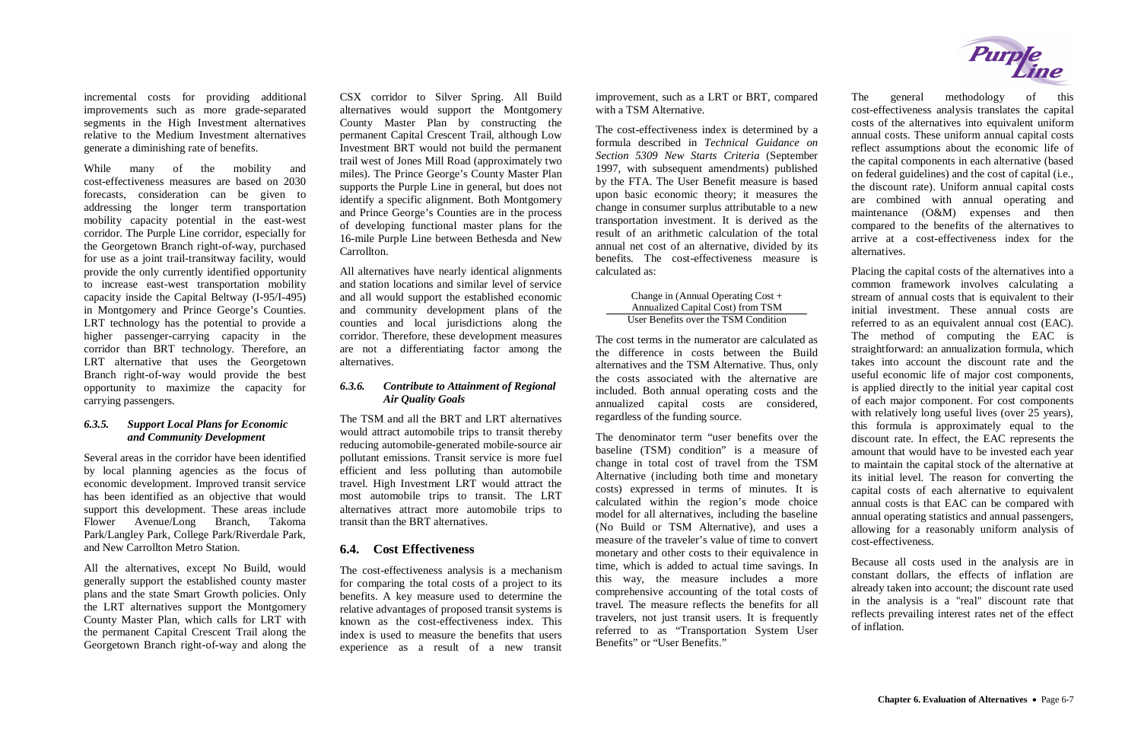incremental costs for providing additional improvements such as more grade-separated segments in the High Investment alternatives relative to the Medium Investment alternatives generate a diminishing rate of benefits.

While many of the mobility and cost-effectiveness measures are based on 2030 forecasts, consideration can be given to addressing the longer term transportation mobility capacity potential in the east-west corridor. The Purple Line corridor, especially for the Georgetown Branch right-of-way, purchased for use as a joint trail-transitway facility, would provide the only currently identified opportunity to increase east-west transportation mobility capacity inside the Capital Beltway (I-95/I-495) in Montgomery and Prince George's Counties. LRT technology has the potential to provide a higher passenger-carrying capacity in the corridor than BRT technology. Therefore, an LRT alternative that uses the Georgetown Branch right-of-way would provide the best opportunity to maximize the capacity for carrying passengers.

#### *6.3.5. Support Local Plans for Economic and Community Development*

Several areas in the corridor have been identified by local planning agencies as the focus of economic development. Improved transit service has been identified as an objective that would support this development. These areas include Flower Avenue/Long Branch, Takoma Park/Langley Park, College Park/Riverdale Park, and New Carrollton Metro Station.

All the alternatives, except No Build, would generally support the established county master plans and the state Smart Growth policies. Only the LRT alternatives support the Montgomery County Master Plan, which calls for LRT with the permanent Capital Crescent Trail along the Georgetown Branch right-of-way and along the

CSX corridor to Silver Spring. All Build alternatives would support the Montgomery County Master Plan by constructing the permanent Capital Crescent Trail, although Low Investment BRT would not build the permanent trail west of Jones Mill Road (approximately two miles). The Prince George's County Master Plan supports the Purple Line in general, but does not identify a specific alignment. Both Montgomery and Prince George's Counties are in the process of developing functional master plans for the 16-mile Purple Line between Bethesda and New Carrollton.

> The denominator term "user benefits over the baseline (TSM) condition" is a measure of change in total cost of travel from the TSM Alternative (including both time and monetary costs) expressed in terms of minutes. It is calculated within the region's mode choice model for all alternatives, including the baseline (No Build or TSM Alternative), and uses a measure of the traveler's value of time to convert monetary and other costs to their equivalence in time, which is added to actual time savings. In this way, the measure includes a more comprehensive accounting of the total costs of travel. The measure reflects the benefits for all travelers, not just transit users. It is frequently referred to as "Transportation System User Benefits" or "User Benefits."



All alternatives have nearly identical alignments and station locations and similar level of service and all would support the established economic and community development plans of the counties and local jurisdictions along the corridor. Therefore, these development measures are not a differentiating factor among the alternatives.

#### *6.3.6. Contribute to Attainment of Regional Air Quality Goals*

The TSM and all the BRT and LRT alternatives would attract automobile trips to transit thereby reducing automobile-generated mobile-source air pollutant emissions. Transit service is more fuel efficient and less polluting than automobile travel. High Investment LRT would attract the most automobile trips to transit. The LRT alternatives attract more automobile trips to transit than the BRT alternatives.

# **6.4. Cost Effectiveness**

The cost-effectiveness analysis is a mechanism for comparing the total costs of a project to its benefits. A key measure used to determine the relative advantages of proposed transit systems is known as the cost-effectiveness index. This index is used to measure the benefits that users experience as a result of a new transit

improvement, such as a LRT or BRT, compared with a TSM Alternative.

The cost-effectiveness index is determined by a formula described in *Technical Guidance on Section 5309 New Starts Criteria* (September 1997, with subsequent amendments) published by the FTA. The User Benefit measure is based upon basic economic theory; it measures the change in consumer surplus attributable to a new transportation investment. It is derived as the result of an arithmetic calculation of the total annual net cost of an alternative, divided by its benefits. The cost-effectiveness measure is calculated as:

> Change in (Annual Operating Cost + Annualized Capital Cost) from TSM User Benefits over the TSM Condition

The cost terms in the numerator are calculated as the difference in costs between the Build alternatives and the TSM Alternative. Thus, only the costs associated with the alternative are included. Both annual operating costs and the annualized capital costs are considered, regardless of the funding source.

The general methodology of this cost-effectiveness analysis translates the capital costs of the alternatives into equivalent uniform annual costs. These uniform annual capital costs reflect assumptions about the economic life of the capital components in each alternative (based on federal guidelines) and the cost of capital (i.e., the discount rate). Uniform annual capital costs are combined with annual operating and maintenance (O&M) expenses and then compared to the benefits of the alternatives to arrive at a cost-effectiveness index for the alternatives.

Placing the capital costs of the alternatives into a common framework involves calculating a stream of annual costs that is equivalent to their initial investment. These annual costs are referred to as an equivalent annual cost (EAC). The method of computing the EAC is straightforward: an annualization formula, which takes into account the discount rate and the useful economic life of major cost components, is applied directly to the initial year capital cost of each major component. For cost components with relatively long useful lives (over 25 years), this formula is approximately equal to the discount rate. In effect, the EAC represents the amount that would have to be invested each year to maintain the capital stock of the alternative at its initial level. The reason for converting the capital costs of each alternative to equivalent annual costs is that EAC can be compared with annual operating statistics and annual passengers, allowing for a reasonably uniform analysis of cost-effectiveness.

Because all costs used in the analysis are in constant dollars, the effects of inflation are already taken into account; the discount rate used in the analysis is a "real" discount rate that reflects prevailing interest rates net of the effect of inflation.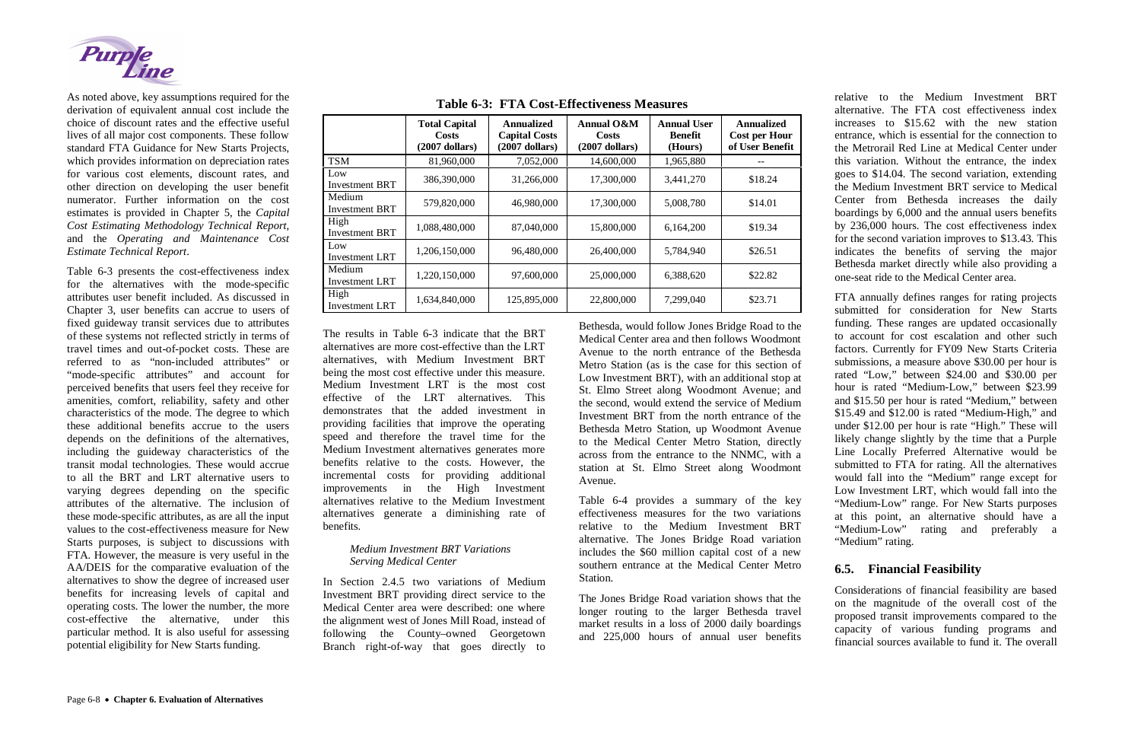

As noted above, key assumptions required for the derivation of equivalent annual cost include the choice of discount rates and the effective useful lives of all major cost components. These follow standard FTA Guidance for New Starts Projects, which provides information on depreciation rates for various cost elements, discount rates, and other direction on developing the user benefit numerator. Further information on the cost estimates is provided in Chapter 5, the *Capital Cost Estimating Methodology Technical Report,* and the *Operating and Maintenance Cost Estimate Technical Report*.

Table 6-3 presents the cost-effectiveness index for the alternatives with the mode-specific attributes user benefit included. As discussed in Chapter 3, user benefits can accrue to users of fixed guideway transit services due to attributes of these systems not reflected strictly in terms of travel times and out-of-pocket costs. These are referred to as "non-included attributes" or "mode-specific attributes" and account for perceived benefits that users feel they receive for amenities, comfort, reliability, safety and other characteristics of the mode. The degree to which these additional benefits accrue to the users depends on the definitions of the alternatives, including the guideway characteristics of the transit modal technologies. These would accrue to all the BRT and LRT alternative users to varying degrees depending on the specific attributes of the alternative. The inclusion of these mode-specific attributes, as are all the input values to the cost-effectiveness measure for New Starts purposes, is subject to discussions with FTA. However, the measure is very useful in the AA/DEIS for the comparative evaluation of the alternatives to show the degree of increased user benefits for increasing levels of capital and operating costs. The lower the number, the more cost-effective the alternative, under this particular method. It is also useful for assessing potential eligibility for New Starts funding.

FTA annually defines ranges for rating projects submitted for consideration for New Starts funding. These ranges are updated occasionally to account for cost escalation and other such factors. Currently for FY09 New Starts Criteria submissions, a measure above \$30.00 per hour is rated "Low," between \$24.00 and \$30.00 per hour is rated "Medium-Low," between \$23.99 and \$15.50 per hour is rated "Medium," between \$15.49 and \$12.00 is rated "Medium-High," and under \$12.00 per hour is rate "High." These will likely change slightly by the time that a Purple Line Locally Preferred Alternative would be submitted to FTA for rating. All the alternatives would fall into the "Medium" range except for Low Investment LRT, which would fall into the "Medium-Low" range. For New Starts purposes at this point, an alternative should have a "Medium-Low" rating and preferably a "Medium" rating.

The results in Table 6-3 indicate that the BRT alternatives are more cost-effective than the LRT alternatives, with Medium Investment BRT being the most cost effective under this measure. Medium Investment LRT is the most cost effective of the LRT alternatives. This demonstrates that the added investment in providing facilities that improve the operating speed and therefore the travel time for the Medium Investment alternatives generates more benefits relative to the costs. However, the incremental costs for providing additional improvements in the High Investment alternatives relative to the Medium Investment alternatives generate a diminishing rate of benefits.

#### *Medium Investment BRT Variations Serving Medical Center*

In Section 2.4.5 two variations of Medium Investment BRT providing direct service to the Medical Center area were described: one where the alignment west of Jones Mill Road, instead of following the County–owned Georgetown Branch right-of-way that goes directly to Bethesda, would follow Jones Bridge Road to the Medical Center area and then follows Woodmont Avenue to the north entrance of the Bethesda Metro Station (as is the case for this section of Low Investment BRT), with an additional stop at St. Elmo Street along Woodmont Avenue; and the second, would extend the service of Medium Investment BRT from the north entrance of the Bethesda Metro Station, up Woodmont Avenue to the Medical Center Metro Station, directly across from the entrance to the NNMC, with a station at St. Elmo Street along Woodmont Avenue.

Table 6-4 provides a summary of the key effectiveness measures for the two variations relative to the Medium Investment BRT alternative. The Jones Bridge Road variation includes the \$60 million capital cost of a new southern entrance at the Medical Center Metro Station.

The Jones Bridge Road variation shows that the longer routing to the larger Bethesda travel market results in a loss of 2000 daily boardings and 225,000 hours of annual user benefits relative to the Medium Investment BRT alternative. The FTA cost effectiveness index increases to \$15.62 with the new station entrance, which is essential for the connection to the Metrorail Red Line at Medical Center under this variation. Without the entrance, the index goes to \$14.04. The second variation, extending the Medium Investment BRT service to Medical Center from Bethesda increases the daily boardings by 6,000 and the annual users benefits by 236,000 hours. The cost effectiveness index for the second variation improves to \$13.43. This indicates the benefits of serving the major Bethesda market directly while also providing a one-seat ride to the Medical Center area.

# **6.5. Financial Feasibility**

Considerations of financial feasibility are based on the magnitude of the overall cost of the proposed transit improvements compared to the capacity of various funding programs and financial sources available to fund it. The overall

**Table 6-3: FTA Cost-Effectiveness Measures**

| T THE COST LITERATURE RECEIVED AND THE LITTLE |                                                          |                                                               |                                                |                                                 |                                                              |  |  |  |  |
|-----------------------------------------------|----------------------------------------------------------|---------------------------------------------------------------|------------------------------------------------|-------------------------------------------------|--------------------------------------------------------------|--|--|--|--|
|                                               | <b>Total Capital</b><br><b>Costs</b><br>$(2007$ dollars) | <b>Annualized</b><br><b>Capital Costs</b><br>$(2007$ dollars) | Annual O&M<br><b>Costs</b><br>$(2007$ dollars) | <b>Annual User</b><br><b>Benefit</b><br>(Hours) | <b>Annualized</b><br><b>Cost per Hour</b><br>of User Benefit |  |  |  |  |
| <b>TSM</b>                                    | 81,960,000                                               | 7,052,000                                                     | 14,600,000                                     | 1,965,880                                       |                                                              |  |  |  |  |
| Low<br><b>Investment BRT</b>                  | 386,390,000                                              | 31,266,000                                                    | 17,300,000                                     | 3,441,270                                       | \$18.24                                                      |  |  |  |  |
| Medium<br><b>Investment BRT</b>               | 579,820,000                                              | 46,980,000                                                    | 17,300,000                                     | 5,008,780                                       | \$14.01                                                      |  |  |  |  |
| High<br><b>Investment BRT</b>                 | 1,088,480,000                                            | 87,040,000                                                    | 15,800,000                                     | 6,164,200                                       | \$19.34                                                      |  |  |  |  |
| Low<br><b>Investment LRT</b>                  | 1,206,150,000                                            | 96,480,000                                                    | 26,400,000                                     | 5,784,940                                       | \$26.51                                                      |  |  |  |  |
| Medium<br><b>Investment LRT</b>               | 1,220,150,000                                            | 97,600,000                                                    | 25,000,000                                     | 6,388,620                                       | \$22.82                                                      |  |  |  |  |
| High<br><b>Investment LRT</b>                 | 1,634,840,000                                            | 125,895,000                                                   | 22,800,000                                     | 7,299,040                                       | \$23.71                                                      |  |  |  |  |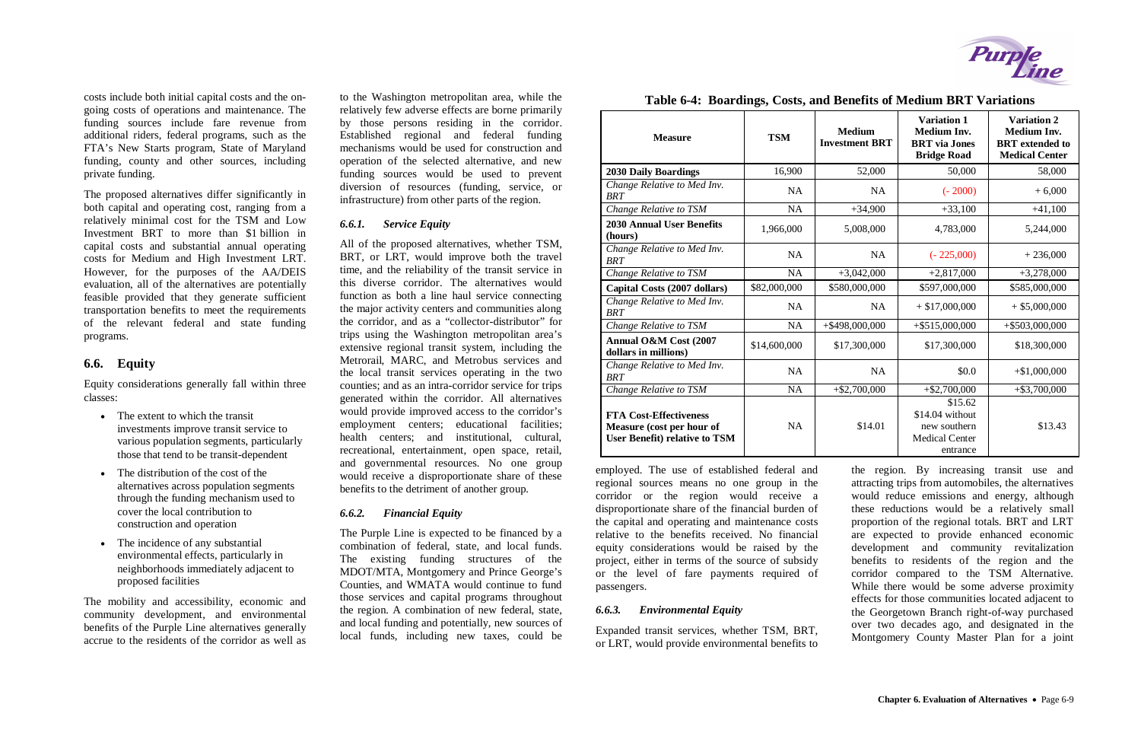costs include both initial capital costs and the ongoing costs of operations and maintenance. The funding sources include fare revenue from additional riders, federal programs, such as the FTA's New Starts program, State of Maryland funding, county and other sources, including private funding.

The proposed alternatives differ significantly in both capital and operating cost, ranging from a relatively minimal cost for the TSM and Low Investment BRT to more than \$1 billion in capital costs and substantial annual operating costs for Medium and High Investment LRT. However, for the purposes of the AA/DEIS evaluation, all of the alternatives are potentially feasible provided that they generate sufficient transportation benefits to meet the requirements of the relevant federal and state funding programs.

- $\bullet$  The extent to which the transit investments improve transit service to various population segments, particularly those that tend to be transit-dependent
- The distribution of the cost of the alternatives across population segments through the funding mechanism used to cover the local contribution to construction and operation
- The incidence of any substantial environmental effects, particularly in neighborhoods immediately adjacent to proposed facilities

#### **6.6. Equity**

Equity considerations generally fall within three classes:

The mobility and accessibility, economic and community development, and environmental benefits of the Purple Line alternatives generally accrue to the residents of the corridor as well as

to the Washington metropolitan area, while the relatively few adverse effects are borne primarily by those persons residing in the corridor. Established regional and federal funding mechanisms would be used for construction and operation of the selected alternative, and new funding sources would be used to prevent diversion of resources (funding, service, or infrastructure) from other parts of the region.

#### *6.6.1. Service Equity*

All of the proposed alternatives, whether TSM, BRT, or LRT, would improve both the travel time, and the reliability of the transit service in this diverse corridor. The alternatives would function as both a line haul service connecting the major activity centers and communities along the corridor, and as a "collector-distributor" for trips using the Washington metropolitan area's extensive regional transit system, including the Metrorail, MARC, and Metrobus services and the local transit services operating in the two counties; and as an intra-corridor service for trips generated within the corridor. All alternatives would provide improved access to the corridor's employment centers; educational facilities; health centers; and institutional, cultural, recreational, entertainment, open space, retail, and governmental resources. No one group would receive a disproportionate share of these benefits to the detriment of another group.

#### *6.6.2. Financial Equity*

The Purple Line is expected to be financed by a combination of federal, state, and local funds. The existing funding structures of the MDOT/MTA, Montgomery and Prince George's Counties, and WMATA would continue to fund those services and capital programs throughout the region. A combination of new federal, state, and local funding and potentially, new sources of local funds, including new taxes, could be employed. The use of established federal and regional sources means no one group in the corridor or the region would receive a disproportionate share of the financial burden of the capital and operating and maintenance costs relative to the benefits received. No financial equity considerations would be raised by the project, either in terms of the source of subsidy or the level of fare payments required of passengers.

#### *6.6.3. Environmental Equity*

Expanded transit services, whether TSM, BRT, or LRT, would provide environmental benefits to



the region. By increasing transit use and attracting trips from automobiles, the alternatives would reduce emissions and energy, although these reductions would be a relatively small proportion of the regional totals. BRT and LRT are expected to provide enhanced economic development and community revitalization benefits to residents of the region and the corridor compared to the TSM Alternative. While there would be some adverse proximity effects for those communities located adjacent to the Georgetown Branch right-of-way purchased over two decades ago, and designated in the Montgomery County Master Plan for a joint

#### **Table 6-4: Boardings, Costs, and Benefits of Medium BRT Variations**

| <b>Measure</b>                                                                                     | <b>TSM</b>   | <b>Medium</b><br><b>Investment BRT</b> | <b>Variation 1</b><br><b>Medium Inv.</b><br><b>BRT</b> via Jones<br><b>Bridge Road</b> | <b>Variation 2</b><br><b>Medium Inv.</b><br><b>BRT</b> extended to<br><b>Medical Center</b> |
|----------------------------------------------------------------------------------------------------|--------------|----------------------------------------|----------------------------------------------------------------------------------------|---------------------------------------------------------------------------------------------|
| <b>2030 Daily Boardings</b>                                                                        | 16,900       | 52,000                                 | 50,000                                                                                 | 58,000                                                                                      |
| Change Relative to Med Inv.<br><b>BRT</b>                                                          | <b>NA</b>    | <b>NA</b>                              | $(-2000)$                                                                              | $+6,000$                                                                                    |
| Change Relative to TSM                                                                             | <b>NA</b>    | $+34,900$                              | $+33,100$                                                                              | $+41,100$                                                                                   |
| <b>2030 Annual User Benefits</b><br>(hours)                                                        | 1,966,000    | 5,008,000                              | 4,783,000                                                                              | 5,244,000                                                                                   |
| Change Relative to Med Inv.<br><b>BRT</b>                                                          | <b>NA</b>    | <b>NA</b>                              | $(-225,000)$                                                                           | $+236,000$                                                                                  |
| Change Relative to TSM                                                                             | <b>NA</b>    | $+3,042,000$                           | $+2,817,000$                                                                           | $+3,278,000$                                                                                |
| Capital Costs (2007 dollars)                                                                       | \$82,000,000 | \$580,000,000                          | \$597,000,000                                                                          | \$585,000,000                                                                               |
| Change Relative to Med Inv.<br><b>BRT</b>                                                          | <b>NA</b>    | <b>NA</b>                              | $+$ \$17,000,000                                                                       | $+$ \$5,000,000                                                                             |
| Change Relative to TSM                                                                             | <b>NA</b>    | $+$ \$498,000,000                      | $+$ \$515,000,000                                                                      | $+$ \$503,000,000                                                                           |
| Annual O&M Cost (2007<br>dollars in millions)                                                      | \$14,600,000 | \$17,300,000                           | \$17,300,000                                                                           | \$18,300,000                                                                                |
| Change Relative to Med Inv.<br><b>BRT</b>                                                          | <b>NA</b>    | <b>NA</b>                              | \$0.0                                                                                  | $+ $1,000,000$                                                                              |
| Change Relative to TSM                                                                             | NA           | $+$ \$2,700,000                        | $+ $2,700,000$                                                                         | $+ $3,700,000$                                                                              |
| <b>FTA Cost-Effectiveness</b><br>Measure (cost per hour of<br><b>User Benefit) relative to TSM</b> | <b>NA</b>    | \$14.01                                | \$15.62<br>\$14.04 without<br>new southern<br>Medical Center<br>entrance               | \$13.43                                                                                     |